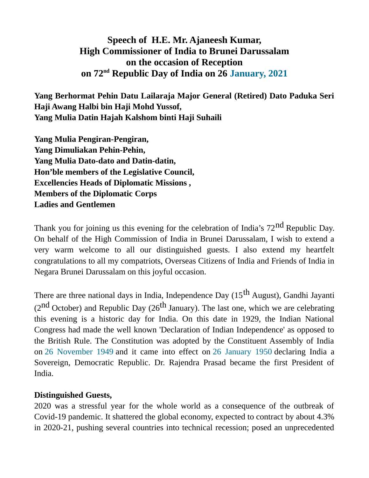# **Speech of H.E. Mr. Ajaneesh Kumar, High Commissioner of India to Brunei Darussalam on the occasion of Reception on 72nd Republic Day of India on 26 January, 2021**

**Yang Berhormat Pehin Datu Lailaraja Major General (Retired) Dato Paduka Seri Haji Awang Halbi bin Haji Mohd Yussof, Yang Mulia Datin Hajah Kalshom binti Haji Suhaili**

**Yang Mulia Pengiran-Pengiran, Yang Dimuliakan Pehin-Pehin, Yang Mulia Dato-dato and Datin-datin, Hon'ble members of the Legislative Council, Excellencies Heads of Diplomatic Missions , Members of the Diplomatic Corps Ladies and Gentlemen**

Thank you for joining us this evening for the celebration of India's  $72<sup>nd</sup>$  Republic Day. On behalf of the High Commission of India in Brunei Darussalam, I wish to extend a very warm welcome to all our distinguished guests. I also extend my heartfelt congratulations to all my compatriots, Overseas Citizens of India and Friends of India in Negara Brunei Darussalam on this joyful occasion.

There are three national days in India, Independence Day (15<sup>th</sup> August), Gandhi Jayanti ( $2<sup>nd</sup>$  October) and Republic Day ( $26<sup>th</sup>$  January). The last one, which we are celebrating this evening is a historic day for India. On this date in 1929, the Indian National Congress had made the well known 'Declaration of Indian Independence' as opposed to the British Rule. The Constitution was adopted by the Constituent Assembly of India on 26 November 1949 and it came into effect on 26 January 1950 declaring India a Sovereign, Democratic Republic. Dr. Rajendra Prasad became the first President of India.

#### **Distinguished Guests,**

2020 was a stressful year for the whole world as a consequence of the outbreak of Covid-19 pandemic. It shattered the global economy, expected to contract by about 4.3% in 2020-21, pushing several countries into technical recession; posed an unprecedented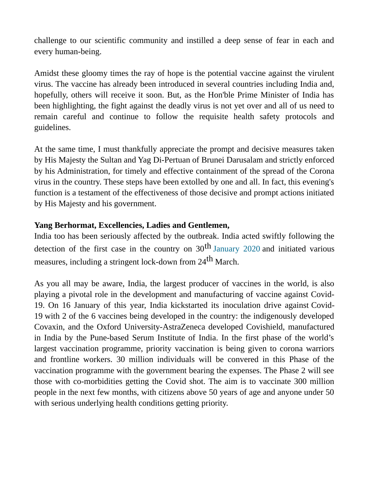challenge to our scientific community and instilled a deep sense of fear in each and every human-being.

Amidst these gloomy times the ray of hope is the potential vaccine against the virulent virus. The vaccine has already been introduced in several countries including India and, hopefully, others will receive it soon. But, as the Hon'ble Prime Minister of India has been highlighting, the fight against the deadly virus is not yet over and all of us need to remain careful and continue to follow the requisite health safety protocols and guidelines.

At the same time, I must thankfully appreciate the prompt and decisive measures taken by His Majesty the Sultan and Yag Di-Pertuan of Brunei Darusalam and strictly enforced by his Administration, for timely and effective containment of the spread of the Corona virus in the country. These steps have been extolled by one and all. In fact, this evening's function is a testament of the effectiveness of those decisive and prompt actions initiated by His Majesty and his government.

## **Yang Berhormat, Excellencies, Ladies and Gentlemen,**

India too has been seriously affected by the outbreak. India acted swiftly following the detection of the first case in the country on  $30<sup>th</sup>$  January 2020 and initiated various measures, including a stringent lock-down from 24<sup>th</sup> March.

As you all may be aware, India, the largest producer of vaccines in the world, is also playing a pivotal role in the development and manufacturing of vaccine against Covid-19. On 16 January of this year, India kickstarted its inoculation drive against Covid-19 with 2 of the 6 vaccines being developed in the country: the indigenously developed Covaxin, and the Oxford University-AstraZeneca developed Covishield, manufactured in India by the Pune-based Serum Institute of India. In the first phase of the world's largest vaccination programme, priority vaccination is being given to corona warriors and frontline workers. 30 million individuals will be convered in this Phase of the vaccination programme with the government bearing the expenses. The Phase 2 will see those with co-morbidities getting the Covid shot. The aim is to vaccinate 300 million people in the next few months, with citizens above 50 years of age and anyone under 50 with serious underlying health conditions getting priority.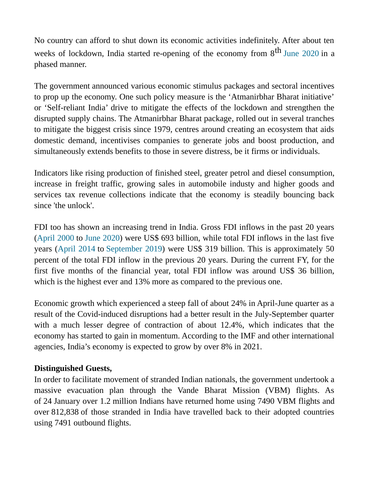No country can afford to shut down its economic activities indefinitely. After about ten weeks of lockdown, India started re-opening of the economy from  $8<sup>th</sup>$  June 2020 in a phased manner.

The government announced various economic stimulus packages and sectoral incentives to prop up the economy. One such policy measure is the 'Atmanirbhar Bharat initiative' or 'Self-reliant India' drive to mitigate the effects of the lockdown and strengthen the disrupted supply chains. The [Atmanirbhar Bharat package,](https://indianexpress.com/article/explained/narendra-modi-coronavirus-economic-package-india-self-reliance-6406939/) rolled out in several tranches to mitigate the biggest crisis since 1979, centres around creating an ecosystem that aids domestic demand, incentivises companies to generate jobs and boost production, and simultaneously extends benefits to those in severe distress, be it firms or individuals.

Indicators like rising production of finished steel, greater petrol and diesel consumption, increase in freight traffic, growing sales in automobile industy and higher goods and services tax revenue collections indicate that the economy is steadily bouncing back since 'the unlock'.

FDI too has shown an increasing trend in India. Gross FDI inflows in the past 20 years (April 2000 to June 2020) were US\$ 693 billion, while total FDI inflows in the last five years (April 2014 to September 2019) were US\$ 319 billion. This is approximately 50 percent of the total FDI inflow in the previous 20 years. During the current FY, for the first five months of the financial year, total FDI inflow was around US\$ 36 billion, which is the highest ever and 13% more as compared to the previous one.

Economic growth which experienced a steep fall of about 24% in April-June quarter as a result of the Covid-induced disruptions had a better result in the July-September quarter with a much lesser degree of contraction of about 12.4%, which indicates that the economy has started to gain in momentum. According to the IMF and other international agencies, India's economy is expected to grow by over 8% in 2021.

# **Distinguished Guests,**

In order to facilitate movement of stranded Indian nationals, the government undertook a massive evacuation plan through the Vande Bharat Mission (VBM) flights. As of 24 January over 1.2 million Indians have returned home using 7490 VBM flights and over 812,838 of those stranded in India have travelled back to their adopted countries using 7491 outbound flights.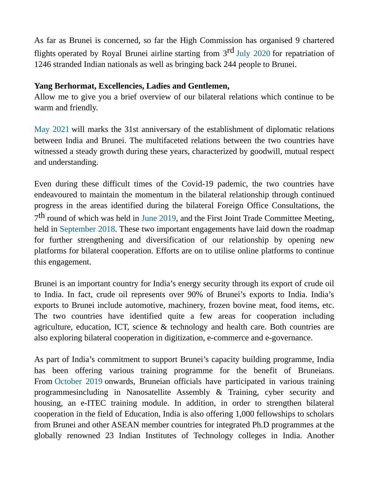As far as Brunei is concerned, so far the High Commission has organised 9 chartered flights operated by Royal Brunei airline starting from  $3<sup>rd</sup>$  July 2020 for repatriation of 1246 stranded Indian nationals as well as bringing back 244 people to Brunei.

### **Yang Berhormat, Excellencies, Ladies and Gentlemen,**

Allow me to give you a brief overview of our bilateral relations which continue to be warm and friendly.

May 2021 will marks the 31st anniversary of the establishment of diplomatic relations between India and Brunei. The multifaceted relations between the two countries have witnessed a steady growth during these years, characterized by goodwill, mutual respect and understanding.

Even during these difficult times of the Covid-19 pademic, the two countries have endeavoured to maintain the momentum in the bilateral relationship through continued progress in the areas identified during the bilateral Foreign Office Consultations, the  $7^{\text{th}}$  round of which was held in June 2019, and the First Joint Trade Committee Meeting, held in September 2018. These two important engagements have laid down the roadmap for further strengthening and diversification of our relationship by opening new platforms for bilateral cooperation. Efforts are on to utilise online platforms to continue this engagement.

Brunei is an important country for India's energy security through its export of crude oil to India. In fact, crude oil represents over 90% of Brunei's exports to India. India's exports to Brunei include automotive, machinery, frozen bovine meat, food items, etc. The two countries have identified quite a few areas for cooperation including agriculture, education, ICT, science & technology and health care. Both countries are also exploring bilateral cooperation in digitization, e-commerce and e-governance.

As part of India's commitment to support Brunei's capacity building programme, India has been offering various training programme for the benefit of Bruneians. From October 2019 onwards, Bruneian officials have participated in various training programmesincluding in Nanosatellite Assembly & Training, cyber security and housing, an e-ITEC training module. In addition, in order to strengthen bilateral cooperation in the field of Education, India is also offering 1,000 fellowships to scholars from Brunei and other ASEAN member countries for integrated Ph.D programmes at the globally renowned 23 Indian Institutes of Technology colleges in India. Another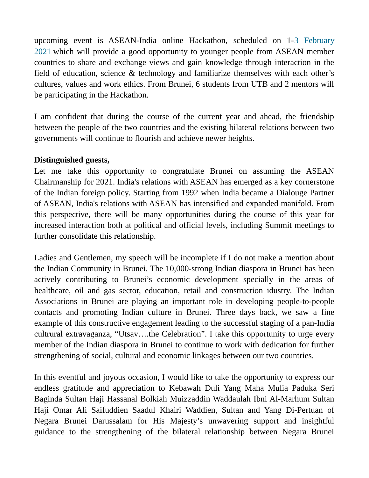upcoming event is ASEAN-India online Hackathon, scheduled on 1-3 February 2021 which will provide a good opportunity to younger people from ASEAN member countries to share and exchange views and gain knowledge through interaction in the field of education, science & technology and familiarize themselves with each other's cultures, values and work ethics. From Brunei, 6 students from UTB and 2 mentors will be participating in the Hackathon.

I am confident that during the course of the current year and ahead, the friendship between the people of the two countries and the existing bilateral relations between two governments will continue to flourish and achieve newer heights.

### **Distinguished guests,**

Let me take this opportunity to congratulate Brunei on assuming the ASEAN Chairmanship for 2021. India's relations with ASEAN has emerged as a key cornerstone of the Indian foreign policy. Starting from 1992 when India became a Dialouge Partner of ASEAN, India's relations with ASEAN has intensified and expanded manifold. From this perspective, there will be many opportunities during the course of this year for increased interaction both at political and official levels, including Summit meetings to further consolidate this relationship.

Ladies and Gentlemen, my speech will be incomplete if I do not make a mention about the Indian Community in Brunei. The 10,000-strong Indian diaspora in Brunei has been actively contributing to Brunei's economic development specially in the areas of healthcare, oil and gas sector, education, retail and construction idustry. The Indian Associations in Brunei are playing an important role in developing people-to-people contacts and promoting Indian culture in Brunei. Three days back, we saw a fine example of this constructive engagement leading to the successful staging of a pan-India cultrural extravaganza, "Utsav….the Celebration". I take this opportunity to urge every member of the Indian diaspora in Brunei to continue to work with dedication for further strengthening of social, cultural and economic linkages between our two countries.

In this eventful and joyous occasion, I would like to take the opportunity to express our endless gratitude and appreciation to Kebawah Duli Yang Maha Mulia Paduka Seri Baginda Sultan Haji Hassanal Bolkiah Muizzaddin Waddaulah Ibni Al-Marhum Sultan Haji Omar Ali Saifuddien Saadul Khairi Waddien, Sultan and Yang Di-Pertuan of Negara Brunei Darussalam for His Majesty's unwavering support and insightful guidance to the strengthening of the bilateral relationship between Negara Brunei